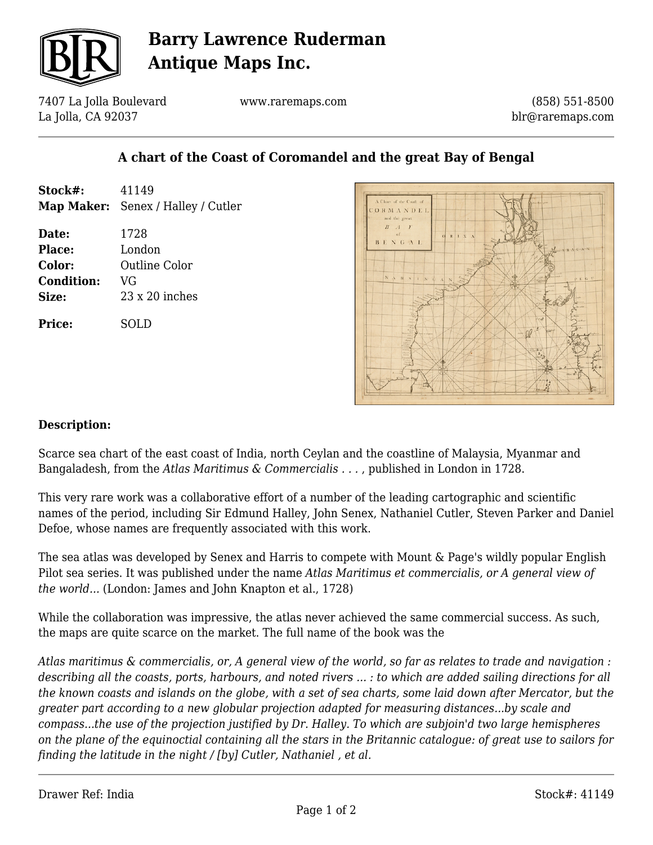

## **Barry Lawrence Ruderman Antique Maps Inc.**

7407 La Jolla Boulevard La Jolla, CA 92037

www.raremaps.com

(858) 551-8500 blr@raremaps.com

### **A chart of the Coast of Coromandel and the great Bay of Bengal**

| Stock#:           | 41149                              |
|-------------------|------------------------------------|
|                   | Map Maker: Senex / Halley / Cutler |
|                   |                                    |
| Date:             | 1728                               |
| Place:            | London                             |
| Color:            | Outline Color                      |
| <b>Condition:</b> | VG                                 |
| Size:             | $23 \times 20$ inches              |
| Price:            | SOLD                               |
|                   |                                    |



#### **Description:**

Scarce sea chart of the east coast of India, north Ceylan and the coastline of Malaysia, Myanmar and Bangaladesh, from the *Atlas Maritimus & Commercialis . . .* , published in London in 1728.

This very rare work was a collaborative effort of a number of the leading cartographic and scientific names of the period, including Sir Edmund Halley, John Senex, Nathaniel Cutler, Steven Parker and Daniel Defoe, whose names are frequently associated with this work.

The sea atlas was developed by Senex and Harris to compete with Mount & Page's wildly popular English Pilot sea series. It was published under the name *Atlas Maritimus et commercialis, or A general view of the world...* (London: James and John Knapton et al., 1728)

While the collaboration was impressive, the atlas never achieved the same commercial success. As such, the maps are quite scarce on the market. The full name of the book was the

*Atlas maritimus & commercialis, or, A general view of the world, so far as relates to trade and navigation : describing all the coasts, ports, harbours, and noted rivers ... : to which are added sailing directions for all the known coasts and islands on the globe, with a set of sea charts, some laid down after Mercator, but the greater part according to a new globular projection adapted for measuring distances...by scale and compass...the use of the projection justified by Dr. Halley. To which are subjoin'd two large hemispheres on the plane of the equinoctial containing all the stars in the Britannic catalogue: of great use to sailors for finding the latitude in the night / [by] Cutler, Nathaniel , et al.*